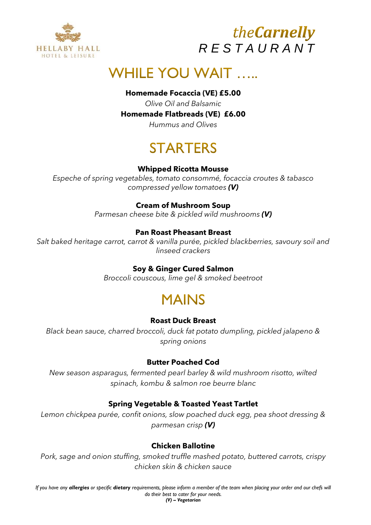



# **WHILE YOU WAIT.....**

### **Homemade Focaccia (VE) £5.00**

*Olive Oil and Balsamic*

#### **Homemade Flatbreads (VE) £6.00**

*Hummus and Olives*

# **STARTFRS**

### **Whipped Ricotta Mousse**

*Espeche of spring vegetables, tomato consommé, focaccia croutes & tabasco compressed yellow tomatoes (V)*

### **Cream of Mushroom Soup**

*Parmesan cheese bite & pickled wild mushrooms (V)*

### **Pan Roast Pheasant Breast**

*Salt baked heritage carrot, carrot & vanilla purée, pickled blackberries, savoury soil and linseed crackers*

### **Soy & Ginger Cured Salmon**

*Broccoli couscous, lime gel & smoked beetroot*

# **MAINS**

### **Roast Duck Breast**

*Black bean sauce, charred broccoli, duck fat potato dumpling, pickled jalapeno & spring onions*

### **Butter Poached Cod**

*New season asparagus, fermented pearl barley & wild mushroom risotto, wilted spinach, kombu & salmon roe beurre blanc*

### **Spring Vegetable & Toasted Yeast Tartlet**

*Lemon chickpea purée, confit onions, slow poached duck egg, pea shoot dressing & parmesan crisp (V)*

### **Chicken Ballotine**

*Pork, sage and onion stuffing, smoked truffle mashed potato, buttered carrots, crispy chicken skin & chicken sauce*

*If you have any allergies or specific dietary requirements, please inform a member of the team when placing your order and our chefs will do their best to cater for your needs. (V) – Vegetarian*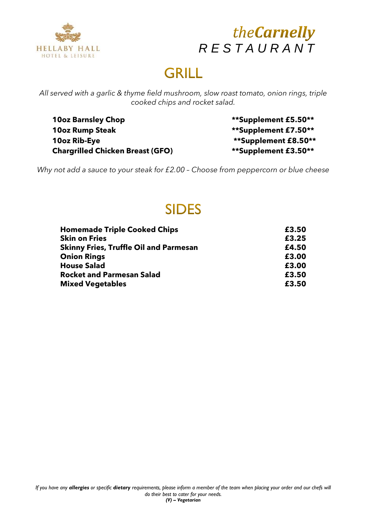



# **GRILL**

*All served with a garlic & thyme field mushroom, slow roast tomato, onion rings, triple cooked chips and rocket salad.*

**10oz Barnsley Chop \*\*Supplement £5.50\*\* 10oz Rump Steak \*\*Supplement £7.50\*\* 10oz Rib-Eye \*\*Supplement £8.50\*\* Chargrilled Chicken Breast (GFO) \*\*Supplement £3.50\*\***

*Why not add a sauce to your steak for £2.00 – Choose from peppercorn or blue cheese*

# **SIDES**

| <b>Homemade Triple Cooked Chips</b>           | £3.50 |
|-----------------------------------------------|-------|
| <b>Skin on Fries</b>                          | £3.25 |
| <b>Skinny Fries, Truffle Oil and Parmesan</b> | £4.50 |
| <b>Onion Rings</b>                            | £3.00 |
| <b>House Salad</b>                            | £3.00 |
| <b>Rocket and Parmesan Salad</b>              | £3.50 |
| <b>Mixed Vegetables</b>                       | £3.50 |